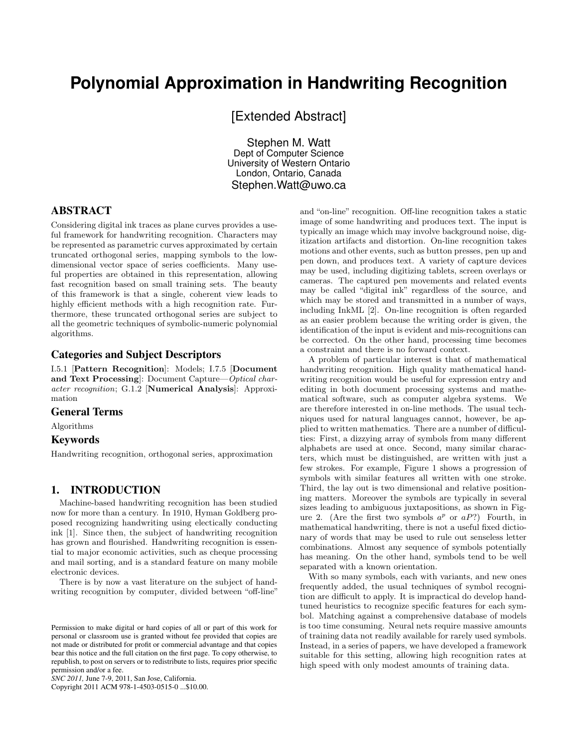# **Polynomial Approximation in Handwriting Recognition**

[Extended Abstract]

Stephen M. Watt Dept of Computer Science University of Western Ontario London, Ontario, Canada Stephen.Watt@uwo.ca

# ABSTRACT

Considering digital ink traces as plane curves provides a useful framework for handwriting recognition. Characters may be represented as parametric curves approximated by certain truncated orthogonal series, mapping symbols to the lowdimensional vector space of series coefficients. Many useful properties are obtained in this representation, allowing fast recognition based on small training sets. The beauty of this framework is that a single, coherent view leads to highly efficient methods with a high recognition rate. Furthermore, these truncated orthogonal series are subject to all the geometric techniques of symbolic-numeric polynomial algorithms.

### Categories and Subject Descriptors

I.5.1 [Pattern Recognition]: Models; I.7.5 [Document and Text Processing]: Document Capture—Optical character recognition; G.1.2 [Numerical Analysis]: Approximation

# General Terms

Algorithms

### Keywords

Handwriting recognition, orthogonal series, approximation

### 1. INTRODUCTION

Machine-based handwriting recognition has been studied now for more than a century. In 1910, Hyman Goldberg proposed recognizing handwriting using electically conducting ink [1]. Since then, the subject of handwriting recognition has grown and flourished. Handwriting recognition is essential to major economic activities, such as cheque processing and mail sorting, and is a standard feature on many mobile electronic devices.

There is by now a vast literature on the subject of handwriting recognition by computer, divided between "off-line"

*SNC 2011,* June 7-9, 2011, San Jose, California.

Copyright 2011 ACM 978-1-4503-0515-0 ...\$10.00.

and "on-line" recognition. Off-line recognition takes a static image of some handwriting and produces text. The input is typically an image which may involve background noise, digitization artifacts and distortion. On-line recognition takes motions and other events, such as button presses, pen up and pen down, and produces text. A variety of capture devices may be used, including digitizing tablets, screen overlays or cameras. The captured pen movements and related events may be called "digital ink" regardless of the source, and which may be stored and transmitted in a number of ways, including InkML [2]. On-line recognition is often regarded as an easier problem because the writing order is given, the identification of the input is evident and mis-recognitions can be corrected. On the other hand, processing time becomes a constraint and there is no forward context.

A problem of particular interest is that of mathematical handwriting recognition. High quality mathematical handwriting recognition would be useful for expression entry and editing in both document processing systems and mathematical software, such as computer algebra systems. We are therefore interested in on-line methods. The usual techniques used for natural languages cannot, however, be applied to written mathematics. There are a number of difficulties: First, a dizzying array of symbols from many different alphabets are used at once. Second, many similar characters, which must be distinguished, are written with just a few strokes. For example, Figure 1 shows a progression of symbols with similar features all written with one stroke. Third, the lay out is two dimensional and relative positioning matters. Moreover the symbols are typically in several sizes leading to ambiguous juxtapositions, as shown in Figure 2. (Are the first two symbols  $a^p$  or  $aP$ ?) Fourth, in mathematical handwriting, there is not a useful fixed dictionary of words that may be used to rule out senseless letter combinations. Almost any sequence of symbols potentially has meaning. On the other hand, symbols tend to be well separated with a known orientation.

With so many symbols, each with variants, and new ones frequently added, the usual techniques of symbol recognition are difficult to apply. It is impractical do develop handtuned heuristics to recognize specific features for each symbol. Matching against a comprehensive database of models is too time consuming. Neural nets require massive amounts of training data not readily available for rarely used symbols. Instead, in a series of papers, we have developed a framework suitable for this setting, allowing high recognition rates at high speed with only modest amounts of training data.

Permission to make digital or hard copies of all or part of this work for personal or classroom use is granted without fee provided that copies are not made or distributed for profit or commercial advantage and that copies bear this notice and the full citation on the first page. To copy otherwise, to republish, to post on servers or to redistribute to lists, requires prior specific permission and/or a fee.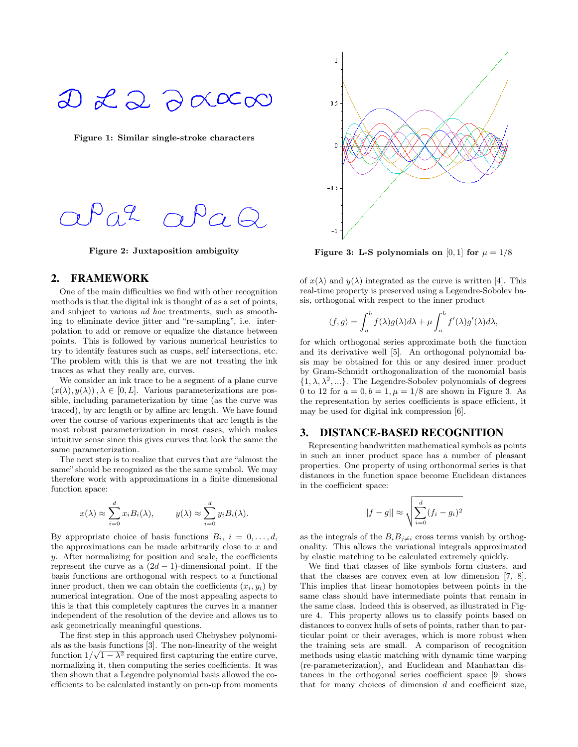# $D \nleq Q \ncong \infty$

Figure 1: Similar single-stroke characters



Figure 2: Juxtaposition ambiguity

### 2. FRAMEWORK

One of the main difficulties we find with other recognition methods is that the digital ink is thought of as a set of points, and subject to various ad hoc treatments, such as smoothing to eliminate device jitter and "re-sampling", i.e. interpolation to add or remove or equalize the distance between points. This is followed by various numerical heuristics to try to identify features such as cusps, self intersections, etc. The problem with this is that we are not treating the ink traces as what they really are, curves.

We consider an ink trace to be a segment of a plane curve  $(x(\lambda), y(\lambda)), \lambda \in [0, L]$ . Various parameterizations are possible, including parameterization by time (as the curve was traced), by arc length or by affine arc length. We have found over the course of various experiments that arc length is the most robust parameterization in most cases, which makes intuitive sense since this gives curves that look the same the same parameterization.

The next step is to realize that curves that are "almost the same" should be recognized as the the same symbol. We may therefore work with approximations in a finite dimensional function space:

$$
x(\lambda) \approx \sum_{i=0}^{d} x_i B_i(\lambda), \qquad y(\lambda) \approx \sum_{i=0}^{d} y_i B_i(\lambda).
$$

By appropriate choice of basis functions  $B_i$ ,  $i = 0, \ldots, d$ , the approximations can be made arbitrarily close to  $x$  and y. After normalizing for position and scale, the coefficients represent the curve as a  $(2d - 1)$ -dimensional point. If the basis functions are orthogonal with respect to a functional inner product, then we can obtain the coefficients  $(x_i, y_i)$  by numerical integration. One of the most appealing aspects to this is that this completely captures the curves in a manner independent of the resolution of the device and allows us to ask geometrically meaningful questions.

The first step in this approach used Chebyshev polynomials as the basis functions [3]. The non-linearity of the weight function  $1/\sqrt{1-\lambda^2}$  required first capturing the entire curve, normalizing it, then computing the series coefficients. It was then shown that a Legendre polynomial basis allowed the coefficients to be calculated instantly on pen-up from moments



Figure 3: L-S polynomials on [0, 1] for  $\mu = 1/8$ 

of  $x(\lambda)$  and  $y(\lambda)$  integrated as the curve is written [4]. This real-time property is preserved using a Legendre-Sobolev basis, orthogonal with respect to the inner product

$$
\langle f, g \rangle = \int_a^b f(\lambda) g(\lambda) d\lambda + \mu \int_a^b f'(\lambda) g'(\lambda) d\lambda,
$$

for which orthogonal series approximate both the function and its derivative well [5]. An orthogonal polynomial basis may be obtained for this or any desired inner product by Gram-Schmidt orthogonalization of the monomial basis  $\{1, \lambda, \lambda^2, ...\}$ . The Legendre-Sobolev polynomials of degrees 0 to 12 for  $a = 0, b = 1, \mu = 1/8$  are shown in Figure 3. As the representation by series coefficients is space efficient, it may be used for digital ink compression [6].

#### 3. DISTANCE-BASED RECOGNITION

Representing handwritten mathematical symbols as points in such an inner product space has a number of pleasant properties. One property of using orthonormal series is that distances in the function space become Euclidean distances in the coefficient space:

$$
||f-g|| \approx \sqrt{\sum_{i=0}^{d} (f_i - g_i)^2}
$$

as the integrals of the  $B_i B_{j\neq i}$  cross terms vanish by orthogonality. This allows the variational integrals approximated by elastic matching to be calculated extremely quickly.

We find that classes of like symbols form clusters, and that the classes are convex even at low dimension [7, 8]. This implies that linear homotopies between points in the same class should have intermediate points that remain in the same class. Indeed this is observed, as illustrated in Figure 4. This property allows us to classify points based on distances to convex hulls of sets of points, rather than to particular point or their averages, which is more robust when the training sets are small. A comparison of recognition methods using elastic matching with dynamic time warping (re-parameterization), and Euclidean and Manhattan distances in the orthogonal series coefficient space [9] shows that for many choices of dimension  $d$  and coefficient size,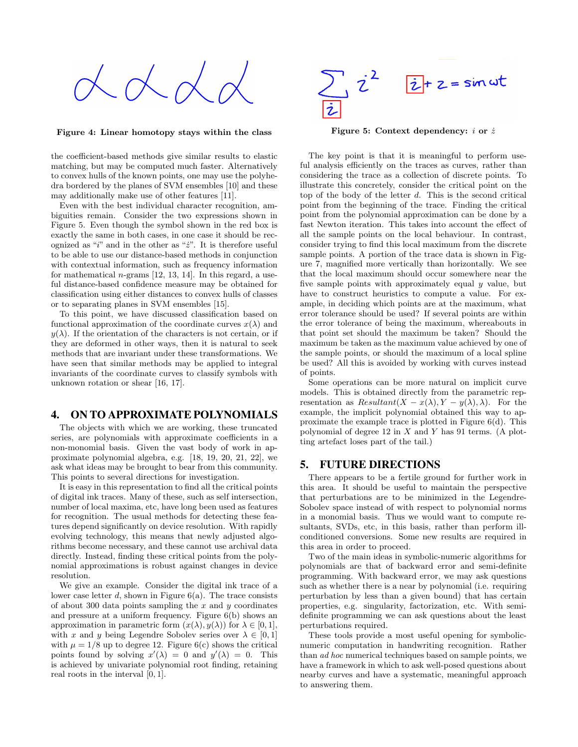

Figure 4: Linear homotopy stays within the class

the coefficient-based methods give similar results to elastic matching, but may be computed much faster. Alternatively to convex hulls of the known points, one may use the polyhedra bordered by the planes of SVM ensembles [10] and these may additionally make use of other features [11].

Even with the best individual character recognition, ambiguities remain. Consider the two expressions shown in Figure 5. Even though the symbol shown in the red box is exactly the same in both cases, in one case it should be recognized as "i" and in the other as " $\dot{z}$ ". It is therefore useful to be able to use our distance-based methods in conjunction with contextual information, such as frequency information for mathematical  $n$ -grams [12, 13, 14]. In this regard, a useful distance-based confidence measure may be obtained for classification using either distances to convex hulls of classes or to separating planes in SVM ensembles [15].

To this point, we have discussed classification based on functional approximation of the coordinate curves  $x(\lambda)$  and  $y(\lambda)$ . If the orientation of the characters is not certain, or if they are deformed in other ways, then it is natural to seek methods that are invariant under these transformations. We have seen that similar methods may be applied to integral invariants of the coordinate curves to classify symbols with unknown rotation or shear [16, 17].

# 4. ON TO APPROXIMATE POLYNOMIALS

The objects with which we are working, these truncated series, are polynomials with approximate coefficients in a non-monomial basis. Given the vast body of work in approximate polynomial algebra, e.g. [18, 19, 20, 21, 22], we ask what ideas may be brought to bear from this community. This points to several directions for investigation.

It is easy in this representation to find all the critical points of digital ink traces. Many of these, such as self intersection, number of local maxima, etc, have long been used as features for recognition. The usual methods for detecting these features depend significantly on device resolution. With rapidly evolving technology, this means that newly adjusted algorithms become necessary, and these cannot use archival data directly. Instead, finding these critical points from the polynomial approximations is robust against changes in device resolution.

We give an example. Consider the digital ink trace of a lower case letter  $d$ , shown in Figure  $6(a)$ . The trace consists of about 300 data points sampling the  $x$  and  $y$  coordinates and pressure at a uniform frequency. Figure 6(b) shows an approximation in parametric form  $(x(\lambda), y(\lambda))$  for  $\lambda \in [0, 1]$ , with x and y being Legendre Sobolev series over  $\lambda \in [0,1]$ with  $\mu = 1/8$  up to degree 12. Figure 6(c) shows the critical points found by solving  $x'(\lambda) = 0$  and  $y'(\lambda) = 0$ . This is achieved by univariate polynomial root finding, retaining real roots in the interval [0, 1].



Figure 5: Context dependency: i or  $\dot{z}$ 

The key point is that it is meaningful to perform useful analysis efficiently on the traces as curves, rather than considering the trace as a collection of discrete points. To illustrate this concretely, consider the critical point on the top of the body of the letter  $d$ . This is the second critical point from the beginning of the trace. Finding the critical point from the polynomial approximation can be done by a fast Newton iteration. This takes into account the effect of all the sample points on the local behaviour. In contrast, consider trying to find this local maximum from the discrete sample points. A portion of the trace data is shown in Figure 7, magnified more vertically than horizontally. We see that the local maximum should occur somewhere near the five sample points with approximately equal  $y$  value, but have to construct heuristics to compute a value. For example, in deciding which points are at the maximum, what error tolerance should be used? If several points are within the error tolerance of being the maximum, whereabouts in that point set should the maximum be taken? Should the maximum be taken as the maximum value achieved by one of the sample points, or should the maximum of a local spline be used? All this is avoided by working with curves instead of points.

Some operations can be more natural on implicit curve models. This is obtained directly from the parametric representation as  $Resultant(X - x(\lambda), Y - y(\lambda), \lambda)$ . For the example, the implicit polynomial obtained this way to approximate the example trace is plotted in Figure 6(d). This polynomial of degree 12 in  $X$  and  $Y$  has 91 terms. (A plotting artefact loses part of the tail.)

### 5. FUTURE DIRECTIONS

There appears to be a fertile ground for further work in this area. It should be useful to maintain the perspective that perturbations are to be minimized in the Legendre-Sobolev space instead of with respect to polynomial norms in a monomial basis. Thus we would want to compute resultants, SVDs, etc, in this basis, rather than perform illconditioned conversions. Some new results are required in this area in order to proceed.

Two of the main ideas in symbolic-numeric algorithms for polynomials are that of backward error and semi-definite programming. With backward error, we may ask questions such as whether there is a near by polynomial (i.e. requiring perturbation by less than a given bound) that has certain properties, e.g. singularity, factorization, etc. With semidefinite programming we can ask questions about the least perturbations required.

These tools provide a most useful opening for symbolicnumeric computation in handwriting recognition. Rather than ad hoc numerical techniques based on sample points, we have a framework in which to ask well-posed questions about nearby curves and have a systematic, meaningful approach to answering them.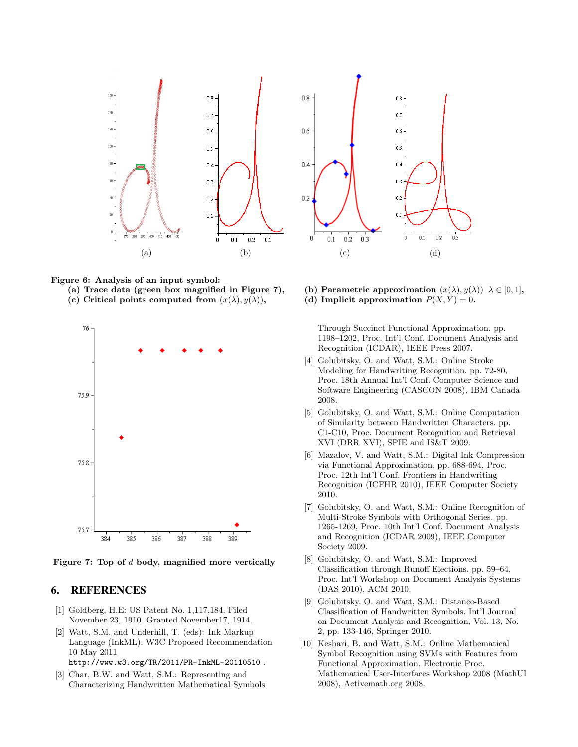

Figure 6: Analysis of an input symbol:

- 
- (c) Critical points computed from  $(x(\lambda), y(\lambda))$ , (d) Implicit approximation  $P(X, Y) = 0$ .



Figure 7: Top of d body, magnified more vertically

### 6. REFERENCES

- [1] Goldberg, H.E: US Patent No. 1,117,184. Filed November 23, 1910. Granted November17, 1914.
- [2] Watt, S.M. and Underhill, T. (eds): Ink Markup Language (InkML). W3C Proposed Recommendation 10 May 2011

http://www.w3.org/TR/2011/PR-InkML-20110510 .

[3] Char, B.W. and Watt, S.M.: Representing and Characterizing Handwritten Mathematical Symbols



(a) Trace data (green box magnified in Figure 7), (b) Parametric approximation  $(x(\lambda), y(\lambda))$   $\lambda \in [0, 1]$ ,

Through Succinct Functional Approximation. pp. 1198–1202, Proc. Int'l Conf. Document Analysis and Recognition (ICDAR), IEEE Press 2007.

- [4] Golubitsky, O. and Watt, S.M.: Online Stroke Modeling for Handwriting Recognition. pp. 72-80, Proc. 18th Annual Int'l Conf. Computer Science and Software Engineering (CASCON 2008), IBM Canada 2008.
- [5] Golubitsky, O. and Watt, S.M.: Online Computation of Similarity between Handwritten Characters. pp. C1-C10, Proc. Document Recognition and Retrieval XVI (DRR XVI), SPIE and IS&T 2009.
- [6] Mazalov, V. and Watt, S.M.: Digital Ink Compression via Functional Approximation. pp. 688-694, Proc. Proc. 12th Int'l Conf. Frontiers in Handwriting Recognition (ICFHR 2010), IEEE Computer Society 2010.
- [7] Golubitsky, O. and Watt, S.M.: Online Recognition of Multi-Stroke Symbols with Orthogonal Series. pp. 1265-1269, Proc. 10th Int'l Conf. Document Analysis and Recognition (ICDAR 2009), IEEE Computer Society 2009.
- [8] Golubitsky, O. and Watt, S.M.: Improved Classification through Runoff Elections. pp. 59–64, Proc. Int'l Workshop on Document Analysis Systems (DAS 2010), ACM 2010.
- [9] Golubitsky, O. and Watt, S.M.: Distance-Based Classification of Handwritten Symbols. Int'l Journal on Document Analysis and Recognition, Vol. 13, No. 2, pp. 133-146, Springer 2010.
- [10] Keshari, B. and Watt, S.M.: Online Mathematical Symbol Recognition using SVMs with Features from Functional Approximation. Electronic Proc. Mathematical User-Interfaces Workshop 2008 (MathUI 2008), Activemath.org 2008.